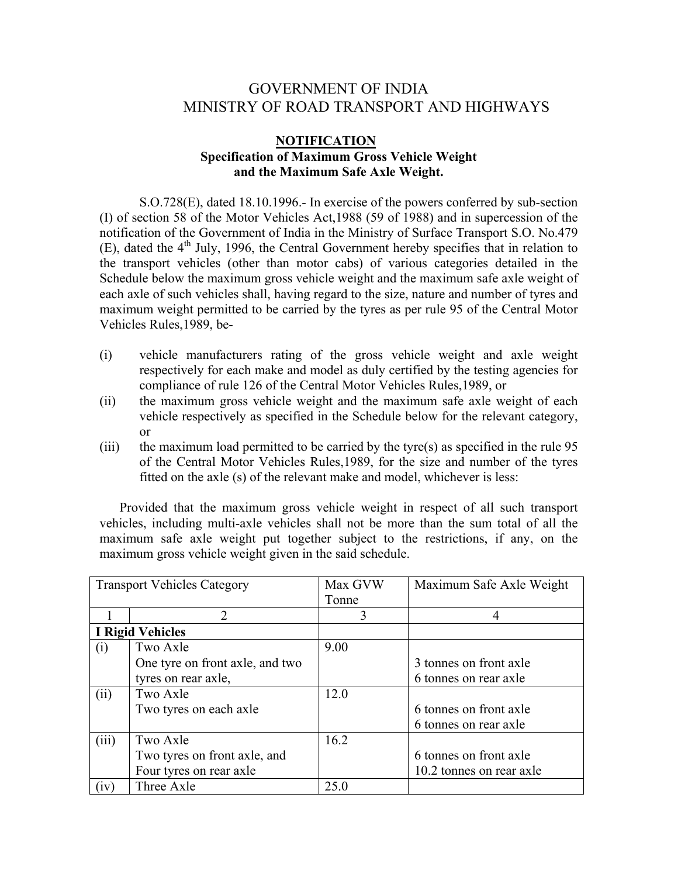## GOVERNMENT OF INDIA MINISTRY OF ROAD TRANSPORT AND HIGHWAYS

## **NOTIFICATION Specification of Maximum Gross Vehicle Weight and the Maximum Safe Axle Weight.**

S.O.728(E), dated 18.10.1996.- In exercise of the powers conferred by sub-section (I) of section 58 of the Motor Vehicles Act,1988 (59 of 1988) and in supercession of the notification of the Government of India in the Ministry of Surface Transport S.O. No.479 (E), dated the  $4<sup>th</sup>$  July, 1996, the Central Government hereby specifies that in relation to the transport vehicles (other than motor cabs) of various categories detailed in the Schedule below the maximum gross vehicle weight and the maximum safe axle weight of each axle of such vehicles shall, having regard to the size, nature and number of tyres and maximum weight permitted to be carried by the tyres as per rule 95 of the Central Motor Vehicles Rules,1989, be-

- (i) vehicle manufacturers rating of the gross vehicle weight and axle weight respectively for each make and model as duly certified by the testing agencies for compliance of rule 126 of the Central Motor Vehicles Rules,1989, or
- (ii) the maximum gross vehicle weight and the maximum safe axle weight of each vehicle respectively as specified in the Schedule below for the relevant category, or
- (iii) the maximum load permitted to be carried by the tyre(s) as specified in the rule  $95$ of the Central Motor Vehicles Rules,1989, for the size and number of the tyres fitted on the axle (s) of the relevant make and model, whichever is less:

Provided that the maximum gross vehicle weight in respect of all such transport vehicles, including multi-axle vehicles shall not be more than the sum total of all the maximum safe axle weight put together subject to the restrictions, if any, on the maximum gross vehicle weight given in the said schedule.

| <b>Transport Vehicles Category</b> |                                 | Max GVW<br>Tonne | Maximum Safe Axle Weight |
|------------------------------------|---------------------------------|------------------|--------------------------|
|                                    | 2                               | 3                |                          |
| <b>I Rigid Vehicles</b>            |                                 |                  |                          |
| (i)                                | Two Axle                        | 9.00             |                          |
|                                    | One tyre on front axle, and two |                  | 3 tonnes on front axle   |
|                                    | tyres on rear axle,             |                  | 6 tonnes on rear axle    |
| (ii)                               | Two Axle                        | 12.0             |                          |
|                                    | Two tyres on each axle          |                  | 6 tonnes on front axle   |
|                                    |                                 |                  | 6 tonnes on rear axle    |
| (iii)                              | Two Axle                        | 16.2             |                          |
|                                    | Two tyres on front axle, and    |                  | 6 tonnes on front axle   |
|                                    | Four tyres on rear axle         |                  | 10.2 tonnes on rear axle |
| (1V)                               | Three Axle                      | 25.0             |                          |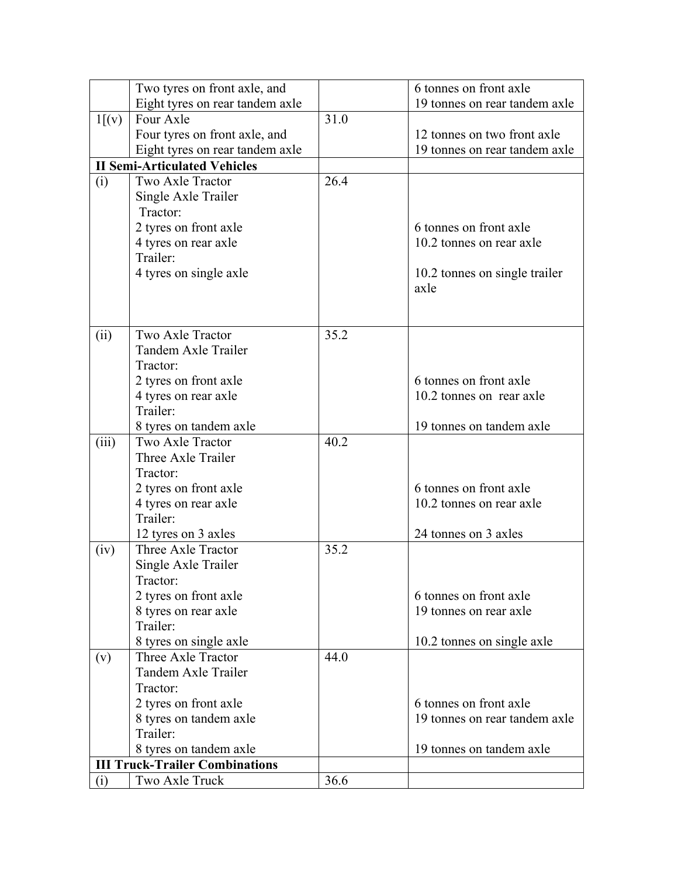|                                       | Two tyres on front axle, and                  |      | 6 tonnes on front axle        |  |  |
|---------------------------------------|-----------------------------------------------|------|-------------------------------|--|--|
|                                       | Eight tyres on rear tandem axle               |      | 19 tonnes on rear tandem axle |  |  |
| 1[(v)]                                | Four Axle                                     | 31.0 |                               |  |  |
|                                       | Four tyres on front axle, and                 |      | 12 tonnes on two front axle   |  |  |
|                                       | Eight tyres on rear tandem axle               |      | 19 tonnes on rear tandem axle |  |  |
| <b>II Semi-Articulated Vehicles</b>   |                                               |      |                               |  |  |
| (i)                                   | Two Axle Tractor                              | 26.4 |                               |  |  |
|                                       | Single Axle Trailer                           |      |                               |  |  |
|                                       | Tractor:                                      |      |                               |  |  |
|                                       | 2 tyres on front axle                         |      | 6 tonnes on front axle        |  |  |
|                                       | 4 tyres on rear axle                          |      | 10.2 tonnes on rear axle      |  |  |
|                                       | Trailer:                                      |      |                               |  |  |
|                                       | 4 tyres on single axle                        |      | 10.2 tonnes on single trailer |  |  |
|                                       |                                               |      | axle                          |  |  |
|                                       |                                               |      |                               |  |  |
|                                       |                                               |      |                               |  |  |
| (ii)                                  | Two Axle Tractor                              | 35.2 |                               |  |  |
|                                       | Tandem Axle Trailer                           |      |                               |  |  |
|                                       | Tractor:                                      |      |                               |  |  |
|                                       | 2 tyres on front axle                         |      | 6 tonnes on front axle        |  |  |
|                                       | 4 tyres on rear axle                          |      | 10.2 tonnes on rear axle      |  |  |
|                                       | Trailer:                                      |      |                               |  |  |
|                                       | 8 tyres on tandem axle                        |      | 19 tonnes on tandem axle      |  |  |
| (iii)                                 | Two Axle Tractor<br>Three Axle Trailer        | 40.2 |                               |  |  |
|                                       | Tractor:                                      |      |                               |  |  |
|                                       |                                               |      | 6 tonnes on front axle        |  |  |
|                                       | 2 tyres on front axle<br>4 tyres on rear axle |      | 10.2 tonnes on rear axle      |  |  |
|                                       | Trailer:                                      |      |                               |  |  |
|                                       | 12 tyres on 3 axles                           |      | 24 tonnes on 3 axles          |  |  |
| (iv)                                  | Three Axle Tractor                            | 35.2 |                               |  |  |
|                                       | Single Axle Trailer                           |      |                               |  |  |
|                                       | Tractor:                                      |      |                               |  |  |
|                                       | 2 tyres on front axle                         |      | 6 tonnes on front axle        |  |  |
|                                       | 8 tyres on rear axle                          |      | 19 tonnes on rear axle        |  |  |
|                                       | Trailer:                                      |      |                               |  |  |
|                                       | 8 tyres on single axle                        |      | 10.2 tonnes on single axle    |  |  |
| (v)                                   | Three Axle Tractor                            | 44.0 |                               |  |  |
|                                       | Tandem Axle Trailer                           |      |                               |  |  |
|                                       | Tractor:                                      |      |                               |  |  |
|                                       | 2 tyres on front axle                         |      | 6 tonnes on front axle        |  |  |
|                                       | 8 tyres on tandem axle                        |      | 19 tonnes on rear tandem axle |  |  |
|                                       | Trailer:                                      |      |                               |  |  |
|                                       | 8 tyres on tandem axle                        |      | 19 tonnes on tandem axle      |  |  |
| <b>III Truck-Trailer Combinations</b> |                                               |      |                               |  |  |
| (i)                                   | Two Axle Truck                                | 36.6 |                               |  |  |